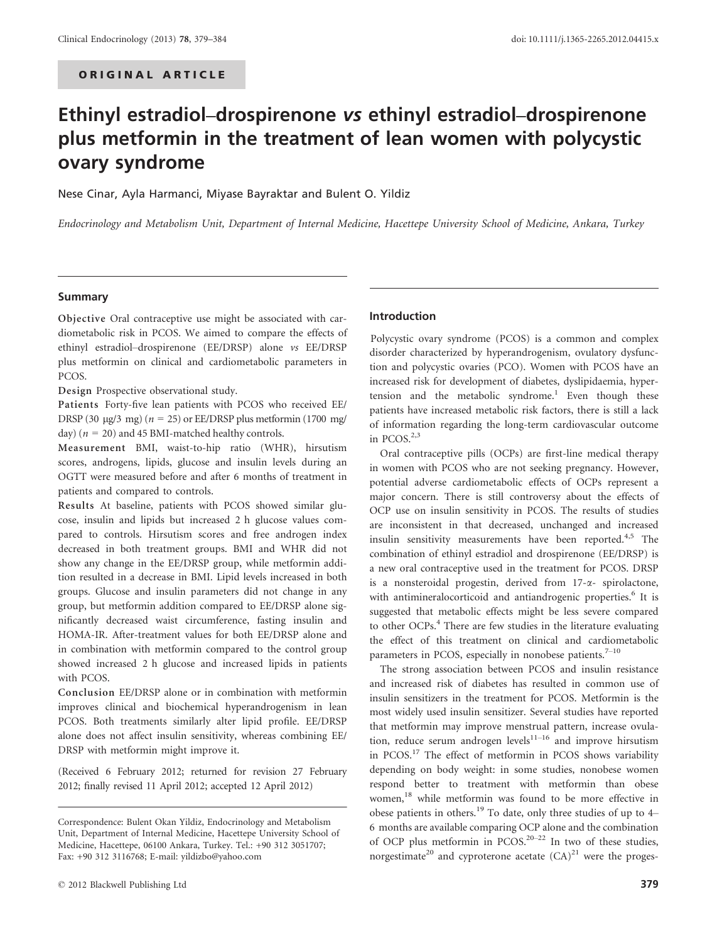# Ethinyl estradiol–drospirenone vs ethinyl estradiol–drospirenone plus metformin in the treatment of lean women with polycystic ovary syndrome

Nese Cinar, Ayla Harmanci, Miyase Bayraktar and Bulent O. Yildiz

Endocrinology and Metabolism Unit, Department of Internal Medicine, Hacettepe University School of Medicine, Ankara, Turkey

# Summary

Objective Oral contraceptive use might be associated with cardiometabolic risk in PCOS. We aimed to compare the effects of ethinyl estradiol–drospirenone (EE/DRSP) alone vs EE/DRSP plus metformin on clinical and cardiometabolic parameters in PCOS.

Design Prospective observational study.

Patients Forty-five lean patients with PCOS who received EE/ DRSP (30 µg/3 mg) ( $n = 25$ ) or EE/DRSP plus metformin (1700 mg/ day) ( $n = 20$ ) and 45 BMI-matched healthy controls.

Measurement BMI, waist-to-hip ratio (WHR), hirsutism scores, androgens, lipids, glucose and insulin levels during an OGTT were measured before and after 6 months of treatment in patients and compared to controls.

Results At baseline, patients with PCOS showed similar glucose, insulin and lipids but increased 2 h glucose values compared to controls. Hirsutism scores and free androgen index decreased in both treatment groups. BMI and WHR did not show any change in the EE/DRSP group, while metformin addition resulted in a decrease in BMI. Lipid levels increased in both groups. Glucose and insulin parameters did not change in any group, but metformin addition compared to EE/DRSP alone significantly decreased waist circumference, fasting insulin and HOMA-IR. After-treatment values for both EE/DRSP alone and in combination with metformin compared to the control group showed increased 2 h glucose and increased lipids in patients with PCOS.

Conclusion EE/DRSP alone or in combination with metformin improves clinical and biochemical hyperandrogenism in lean PCOS. Both treatments similarly alter lipid profile. EE/DRSP alone does not affect insulin sensitivity, whereas combining EE/ DRSP with metformin might improve it.

(Received 6 February 2012; returned for revision 27 February 2012; finally revised 11 April 2012; accepted 12 April 2012)

#### Introduction

Polycystic ovary syndrome (PCOS) is a common and complex disorder characterized by hyperandrogenism, ovulatory dysfunction and polycystic ovaries (PCO). Women with PCOS have an increased risk for development of diabetes, dyslipidaemia, hypertension and the metabolic syndrome.<sup>1</sup> Even though these patients have increased metabolic risk factors, there is still a lack of information regarding the long-term cardiovascular outcome in PCOS.<sup>2,3</sup>

Oral contraceptive pills (OCPs) are first-line medical therapy in women with PCOS who are not seeking pregnancy. However, potential adverse cardiometabolic effects of OCPs represent a major concern. There is still controversy about the effects of OCP use on insulin sensitivity in PCOS. The results of studies are inconsistent in that decreased, unchanged and increased insulin sensitivity measurements have been reported. $4,5$  The combination of ethinyl estradiol and drospirenone (EE/DRSP) is a new oral contraceptive used in the treatment for PCOS. DRSP is a nonsteroidal progestin, derived from 17-a- spirolactone, with antimineralocorticoid and antiandrogenic properties.<sup>6</sup> It is suggested that metabolic effects might be less severe compared to other OCPs.<sup>4</sup> There are few studies in the literature evaluating the effect of this treatment on clinical and cardiometabolic parameters in PCOS, especially in nonobese patients. $7-10$ 

The strong association between PCOS and insulin resistance and increased risk of diabetes has resulted in common use of insulin sensitizers in the treatment for PCOS. Metformin is the most widely used insulin sensitizer. Several studies have reported that metformin may improve menstrual pattern, increase ovulation, reduce serum androgen levels $11-16$  and improve hirsutism in PCOS.<sup>17</sup> The effect of metformin in PCOS shows variability depending on body weight: in some studies, nonobese women respond better to treatment with metformin than obese women,<sup>18</sup> while metformin was found to be more effective in obese patients in others.<sup>19</sup> To date, only three studies of up to  $4-$ 6 months are available comparing OCP alone and the combination of OCP plus metformin in PCOS.20–<sup>22</sup> In two of these studies, norgestimate<sup>20</sup> and cyproterone acetate  $(CA)^{21}$  were the proges-

Correspondence: Bulent Okan Yildiz, Endocrinology and Metabolism Unit, Department of Internal Medicine, Hacettepe University School of Medicine, Hacettepe, 06100 Ankara, Turkey. Tel.: +90 312 3051707; Fax: +90 312 3116768; E-mail: yildizbo@yahoo.com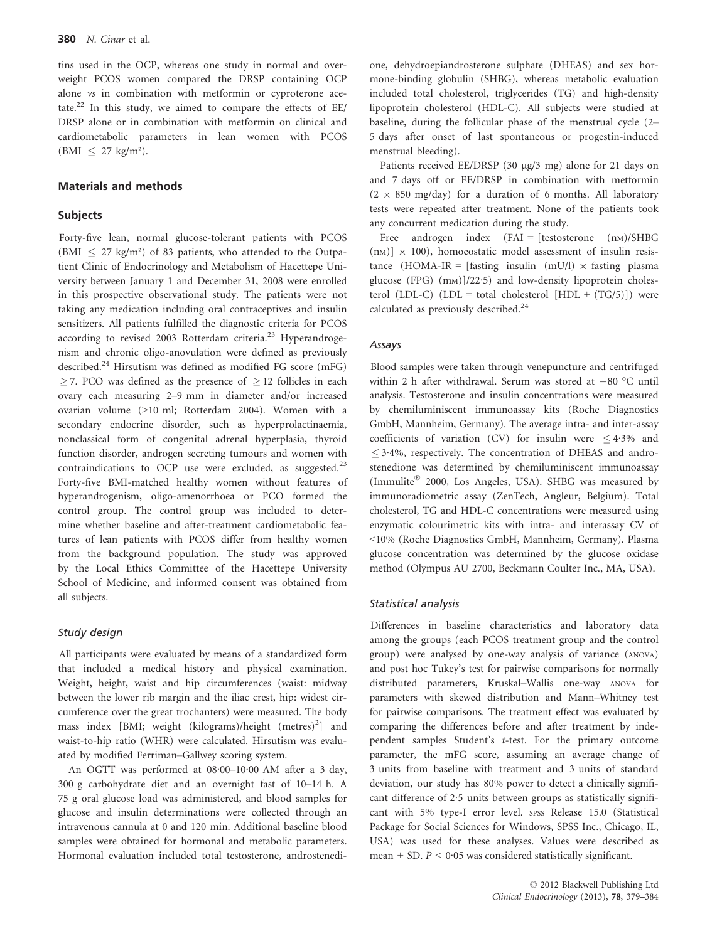tins used in the OCP, whereas one study in normal and overweight PCOS women compared the DRSP containing OCP alone vs in combination with metformin or cyproterone acetate.<sup>22</sup> In this study, we aimed to compare the effects of EE/ DRSP alone or in combination with metformin on clinical and cardiometabolic parameters in lean women with PCOS  $(BMI \leq 27$  kg/m<sup>2</sup>).

# Materials and methods

# Subjects

Forty-five lean, normal glucose-tolerant patients with PCOS  $(BMI < 27 \text{ kg/m}^2)$  of 83 patients, who attended to the Outpatient Clinic of Endocrinology and Metabolism of Hacettepe University between January 1 and December 31, 2008 were enrolled in this prospective observational study. The patients were not taking any medication including oral contraceptives and insulin sensitizers. All patients fulfilled the diagnostic criteria for PCOS according to revised 2003 Rotterdam criteria.<sup>23</sup> Hyperandrogenism and chronic oligo-anovulation were defined as previously described.<sup>24</sup> Hirsutism was defined as modified FG score (mFG)  $>$  7. PCO was defined as the presence of  $>$  12 follicles in each ovary each measuring 2–9 mm in diameter and/or increased ovarian volume (>10 ml; Rotterdam 2004). Women with a secondary endocrine disorder, such as hyperprolactinaemia, nonclassical form of congenital adrenal hyperplasia, thyroid function disorder, androgen secreting tumours and women with contraindications to OCP use were excluded, as suggested.<sup>23</sup> Forty-five BMI-matched healthy women without features of hyperandrogenism, oligo-amenorrhoea or PCO formed the control group. The control group was included to determine whether baseline and after-treatment cardiometabolic features of lean patients with PCOS differ from healthy women from the background population. The study was approved by the Local Ethics Committee of the Hacettepe University School of Medicine, and informed consent was obtained from all subjects.

### Study design

All participants were evaluated by means of a standardized form that included a medical history and physical examination. Weight, height, waist and hip circumferences (waist: midway between the lower rib margin and the iliac crest, hip: widest circumference over the great trochanters) were measured. The body mass index [BMI; weight (kilograms)/height (metres)<sup>2</sup>] and waist-to-hip ratio (WHR) were calculated. Hirsutism was evaluated by modified Ferriman–Gallwey scoring system.

An OGTT was performed at 08·00–10·00 AM after a 3 day, 300 g carbohydrate diet and an overnight fast of 10–14 h. A 75 g oral glucose load was administered, and blood samples for glucose and insulin determinations were collected through an intravenous cannula at 0 and 120 min. Additional baseline blood samples were obtained for hormonal and metabolic parameters. Hormonal evaluation included total testosterone, androstenedione, dehydroepiandrosterone sulphate (DHEAS) and sex hormone-binding globulin (SHBG), whereas metabolic evaluation included total cholesterol, triglycerides (TG) and high-density lipoprotein cholesterol (HDL-C). All subjects were studied at baseline, during the follicular phase of the menstrual cycle (2– 5 days after onset of last spontaneous or progestin-induced menstrual bleeding).

Patients received EE/DRSP (30 µg/3 mg) alone for 21 days on and 7 days off or EE/DRSP in combination with metformin  $(2 \times 850 \text{ m}g/day)$  for a duration of 6 months. All laboratory tests were repeated after treatment. None of the patients took any concurrent medication during the study.

Free androgen index  $(FAI = [testosterone (nm)/SHBG]$  $(nM)$ ]  $\times$  100), homoeostatic model assessment of insulin resistance (HOMA-IR = [fasting insulin (mU/l)  $\times$  fasting plasma glucose (FPG) (m<sub>M</sub>)]/22·5) and low-density lipoprotein cholesterol (LDL-C) (LDL = total cholesterol  $[HDL + (TG/5)]$ ) were calculated as previously described.<sup>24</sup>

# Assays

Blood samples were taken through venepuncture and centrifuged within 2 h after withdrawal. Serum was stored at  $-80$  °C until analysis. Testosterone and insulin concentrations were measured by chemiluminiscent immunoassay kits (Roche Diagnostics GmbH, Mannheim, Germany). The average intra- and inter-assay coefficients of variation (CV) for insulin were  $\leq 4.3\%$  and  $\leq$  3.4%, respectively. The concentration of DHEAS and androstenedione was determined by chemiluminiscent immunoassay (Immulite® 2000, Los Angeles, USA). SHBG was measured by immunoradiometric assay (ZenTech, Angleur, Belgium). Total cholesterol, TG and HDL-C concentrations were measured using enzymatic colourimetric kits with intra- and interassay CV of <10% (Roche Diagnostics GmbH, Mannheim, Germany). Plasma glucose concentration was determined by the glucose oxidase method (Olympus AU 2700, Beckmann Coulter Inc., MA, USA).

### Statistical analysis

Differences in baseline characteristics and laboratory data among the groups (each PCOS treatment group and the control group) were analysed by one-way analysis of variance (ANOVA) and post hoc Tukey's test for pairwise comparisons for normally distributed parameters, Kruskal–Wallis one-way ANOVA for parameters with skewed distribution and Mann–Whitney test for pairwise comparisons. The treatment effect was evaluated by comparing the differences before and after treatment by independent samples Student's t-test. For the primary outcome parameter, the mFG score, assuming an average change of 3 units from baseline with treatment and 3 units of standard deviation, our study has 80% power to detect a clinically significant difference of 2·5 units between groups as statistically significant with 5% type-I error level. SPSS Release 15.0 (Statistical Package for Social Sciences for Windows, SPSS Inc., Chicago, IL, USA) was used for these analyses. Values were described as mean  $\pm$  SD.  $P < 0.05$  was considered statistically significant.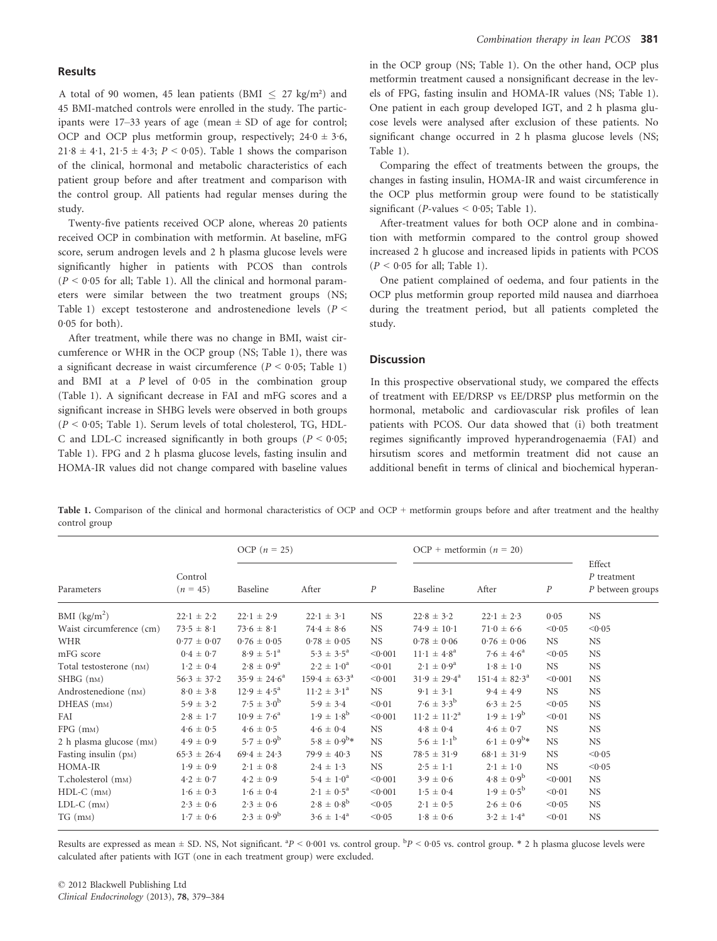# Results

A total of 90 women, 45 lean patients (BMI  $\leq$  27 kg/m<sup>2</sup>) and 45 BMI-matched controls were enrolled in the study. The participants were  $17-33$  years of age (mean  $\pm$  SD of age for control; OCP and OCP plus metformin group, respectively;  $24.0 \pm 3.6$ ,  $21·8 \pm 4·1$ ,  $21·5 \pm 4·3$ ;  $P < 0·05$ ). Table 1 shows the comparison of the clinical, hormonal and metabolic characteristics of each patient group before and after treatment and comparison with the control group. All patients had regular menses during the study.

Twenty-five patients received OCP alone, whereas 20 patients received OCP in combination with metformin. At baseline, mFG score, serum androgen levels and 2 h plasma glucose levels were significantly higher in patients with PCOS than controls  $(P < 0.05$  for all; Table 1). All the clinical and hormonal parameters were similar between the two treatment groups (NS; Table 1) except testosterone and androstenedione levels ( $P$  <  $0.05$  for both).

After treatment, while there was no change in BMI, waist circumference or WHR in the OCP group (NS; Table 1), there was a significant decrease in waist circumference ( $P < 0.05$ ; Table 1) and BMI at a P level of 0·05 in the combination group (Table 1). A significant decrease in FAI and mFG scores and a significant increase in SHBG levels were observed in both groups  $(P < 0.05$ ; Table 1). Serum levels of total cholesterol, TG, HDL-C and LDL-C increased significantly in both groups ( $P < 0.05$ ; Table 1). FPG and 2 h plasma glucose levels, fasting insulin and HOMA-IR values did not change compared with baseline values in the OCP group (NS; Table 1). On the other hand, OCP plus metformin treatment caused a nonsignificant decrease in the levels of FPG, fasting insulin and HOMA-IR values (NS; Table 1). One patient in each group developed IGT, and 2 h plasma glucose levels were analysed after exclusion of these patients. No significant change occurred in 2 h plasma glucose levels (NS; Table 1).

Comparing the effect of treatments between the groups, the changes in fasting insulin, HOMA-IR and waist circumference in the OCP plus metformin group were found to be statistically significant (*P*-values  $\leq$  0.05; Table 1).

After-treatment values for both OCP alone and in combination with metformin compared to the control group showed increased 2 h glucose and increased lipids in patients with PCOS  $(P < 0.05$  for all; Table 1).

One patient complained of oedema, and four patients in the OCP plus metformin group reported mild nausea and diarrhoea during the treatment period, but all patients completed the study.

# **Discussion**

In this prospective observational study, we compared the effects of treatment with EE/DRSP vs EE/DRSP plus metformin on the hormonal, metabolic and cardiovascular risk profiles of lean patients with PCOS. Our data showed that (i) both treatment regimes significantly improved hyperandrogenaemia (FAI) and hirsutism scores and metformin treatment did not cause an additional benefit in terms of clinical and biochemical hyperan-

Table 1. Comparison of the clinical and hormonal characteristics of OCP and OCP + metformin groups before and after treatment and the healthy control group

| Parameters                           | Control<br>$(n = 45)$      | OCP $(n = 25)$             |                              |                  | OCP + metformin $(n = 20)$    |                            |                  |                                             |
|--------------------------------------|----------------------------|----------------------------|------------------------------|------------------|-------------------------------|----------------------------|------------------|---------------------------------------------|
|                                      |                            | Baseline                   | After                        | $\boldsymbol{P}$ | Baseline                      | After                      | $\boldsymbol{P}$ | Effect<br>$P$ treatment<br>P between groups |
| BMI $(kg/m2)$                        | $22 \cdot 1 \pm 2 \cdot 2$ | $22 \cdot 1 \pm 2 \cdot 9$ | $22 \cdot 1 \pm 3 \cdot 1$   | <b>NS</b>        | $22.8 \pm 3.2$                | $22 \cdot 1 \pm 2 \cdot 3$ | 0.05             | <b>NS</b>                                   |
| Waist circumference (cm)             | $73.5 \pm 8.1$             | $73.6 \pm 8.1$             | $74.4 \pm 8.6$               | <b>NS</b>        | $74.9 \pm 10.1$               | $71.0 \pm 6.6$             | < 0.05           | < 0.05                                      |
| <b>WHR</b>                           | $0.77 \pm 0.07$            | $0.76 \pm 0.05$            | $0.78 \pm 0.05$              | <b>NS</b>        | $0.78 \pm 0.06$               | $0.76 \pm 0.06$            | NS.              | <b>NS</b>                                   |
| mFG score                            | $0.4 \pm 0.7$              | $8.9 \pm 5.1^{\circ}$      | $5.3 \pm 3.5^{\circ}$        | < 0.001          | $11 \cdot 1 \pm 4 \cdot 8^a$  | $7.6 \pm 4.6^a$            | < 0.05           | <b>NS</b>                                   |
| Total testosterone (n <sub>M</sub> ) | $1.2 \pm 0.4$              | $2.8 \pm 0.9^a$            | $2 \cdot 2 \pm 1 \cdot 0^a$  | < 0.01           | $2.1 \pm 0.9^a$               | $1.8 \pm 1.0$              | <b>NS</b>        | <b>NS</b>                                   |
| $SHBG$ ( $nm$ )                      | $56.3 \pm 37.2$            | $35.9 \pm 24.6^a$          | $159.4 \pm 63.3^{\circ}$     | < 0.001          | $31.9 \pm 29.4^{\circ}$       | $151.4 \pm 82.3^{\circ}$   | < 0.001          | <b>NS</b>                                   |
| Androstenedione (n <sub>M</sub> )    | $8.0 \pm 3.8$              | $12.9 \pm 4.5^{\circ}$     | $11 \cdot 2 \pm 3 \cdot 1^a$ | <b>NS</b>        | $9.1 \pm 3.1$                 | $9.4 \pm 4.9$              | <b>NS</b>        | <b>NS</b>                                   |
| DHEAS (m <sub>M</sub> )              | $5.9 \pm 3.2$              | $7.5 \pm 3.0^{b}$          | $5.9 \pm 3.4$                | < 0.01           | $7.6 \pm 3.3^{b}$             | $6.3 \pm 2.5$              | < 0.05           | <b>NS</b>                                   |
| FAI                                  | $2.8 \pm 1.7$              | $10.9 \pm 7.6^{\circ}$     | $1.9 \pm 1.8^{b}$            | < 0.001          | $11 \cdot 2 \pm 11 \cdot 2^a$ | $1.9 \pm 1.9^{b}$          | < 0.01           | <b>NS</b>                                   |
| $FPG$ (m <sub>M</sub> )              | $4.6 \pm 0.5$              | $4.6 \pm 0.5$              | $4.6 \pm 0.4$                | <b>NS</b>        | $4.8 \pm 0.4$                 | $4.6 \pm 0.7$              | <b>NS</b>        | <b>NS</b>                                   |
| 2 h plasma glucose (m <sub>M</sub> ) | $4.9 \pm 0.9$              | $5.7 \pm 0.9^b$            | $5.8 \pm 0.9^{b*}$           | <b>NS</b>        | $5.6 \pm 1.1^b$               | $6.1 \pm 0.9^{b*}$         | <b>NS</b>        | <b>NS</b>                                   |
| Fasting insulin (pM)                 | $65.3 \pm 26.4$            | $69.4 \pm 24.3$            | $79.9 \pm 40.3$              | <b>NS</b>        | $78.5 \pm 31.9$               | $68.1 \pm 31.9$            | <b>NS</b>        | < 0.05                                      |
| HOMA-IR                              | $1.9 \pm 0.9$              | $2 \cdot 1 \pm 0.8$        | $2.4 \pm 1.3$                | <b>NS</b>        | $2.5 \pm 1.1$                 | $2 \cdot 1 \pm 1 \cdot 0$  | <b>NS</b>        | < 0.05                                      |
| T.cholesterol (m <sub>M</sub> )      | $4.2 \pm 0.7$              | $4.2 \pm 0.9$              | $5.4 \pm 1.0^a$              | < 0.001          | $3.9 \pm 0.6$                 | $4.8 \pm 0.9^b$            | < 0.001          | <b>NS</b>                                   |
| $HDL-C$ (m <sub>M</sub> )            | $1.6 \pm 0.3$              | $1.6 \pm 0.4$              | $2.1 \pm 0.5^a$              | < 0.001          | $1.5 \pm 0.4$                 | $1.9 \pm 0.5^{b}$          | < 0.01           | <b>NS</b>                                   |
| $LDL-C$ (m $M$ )                     | $2.3 \pm 0.6$              | $2.3 \pm 0.6$              | $2.8 \pm 0.8^b$              | < 0.05           | $2 \cdot 1 \pm 0.5$           | $2.6 \pm 0.6$              | < 0.05           | <b>NS</b>                                   |
| $TG$ (m <sub>M</sub> )               | $1.7 \pm 0.6$              | $2.3 \pm 0.9^{b}$          | $3.6 \pm 1.4^a$              | < 0.05           | $1.8 \pm 0.6$                 | $3.2 \pm 1.4^{\circ}$      | < 0.01           | <b>NS</b>                                   |

Results are expressed as mean  $\pm$  SD. NS, Not significant.  ${}^{3}P$  < 0·001 vs. control group.  ${}^{b}P$  < 0·05 vs. control group.  ${}^{*}$  2 h plasma glucose levels were calculated after patients with IGT (one in each treatment group) were excluded.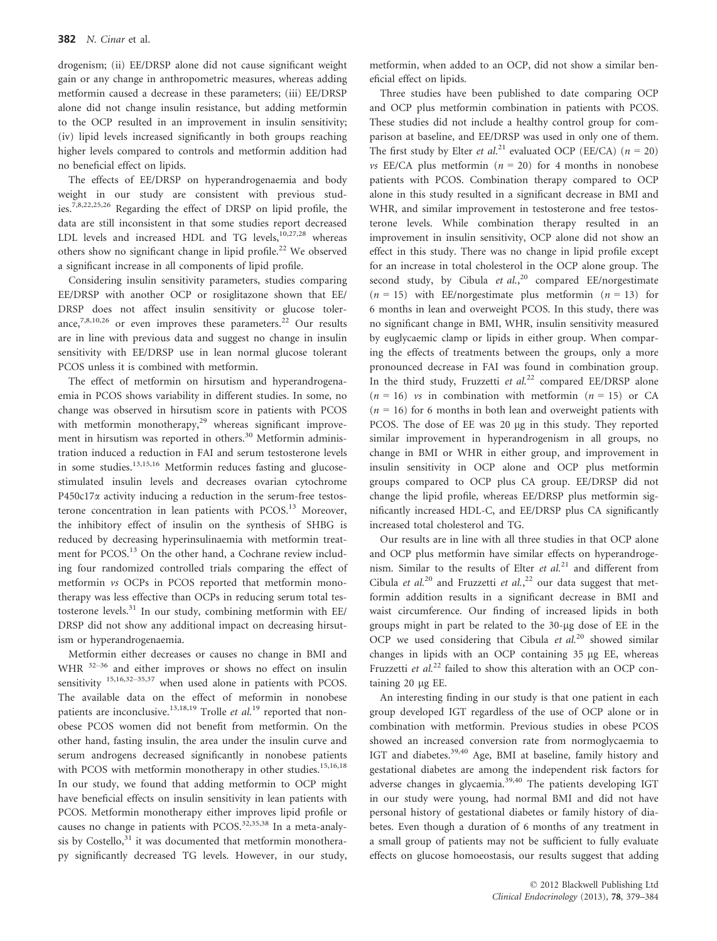drogenism; (ii) EE/DRSP alone did not cause significant weight gain or any change in anthropometric measures, whereas adding metformin caused a decrease in these parameters; (iii) EE/DRSP alone did not change insulin resistance, but adding metformin to the OCP resulted in an improvement in insulin sensitivity; (iv) lipid levels increased significantly in both groups reaching higher levels compared to controls and metformin addition had no beneficial effect on lipids.

The effects of EE/DRSP on hyperandrogenaemia and body weight in our study are consistent with previous studies.7,8,22,25,26 Regarding the effect of DRSP on lipid profile, the data are still inconsistent in that some studies report decreased LDL levels and increased HDL and TG levels, $10,27,28$  whereas others show no significant change in lipid profile.<sup>22</sup> We observed a significant increase in all components of lipid profile.

Considering insulin sensitivity parameters, studies comparing EE/DRSP with another OCP or rosiglitazone shown that EE/ DRSP does not affect insulin sensitivity or glucose tolerance,<sup>7,8,10,26</sup> or even improves these parameters.<sup>22</sup> Our results are in line with previous data and suggest no change in insulin sensitivity with EE/DRSP use in lean normal glucose tolerant PCOS unless it is combined with metformin.

The effect of metformin on hirsutism and hyperandrogenaemia in PCOS shows variability in different studies. In some, no change was observed in hirsutism score in patients with PCOS with metformin monotherapy,<sup>29</sup> whereas significant improvement in hirsutism was reported in others.<sup>30</sup> Metformin administration induced a reduction in FAI and serum testosterone levels in some studies.<sup>13,15,16</sup> Metformin reduces fasting and glucosestimulated insulin levels and decreases ovarian cytochrome  $P450c17\alpha$  activity inducing a reduction in the serum-free testosterone concentration in lean patients with PCOS.<sup>13</sup> Moreover, the inhibitory effect of insulin on the synthesis of SHBG is reduced by decreasing hyperinsulinaemia with metformin treatment for PCOS.<sup>13</sup> On the other hand, a Cochrane review including four randomized controlled trials comparing the effect of metformin vs OCPs in PCOS reported that metformin monotherapy was less effective than OCPs in reducing serum total testosterone levels. $31$  In our study, combining metformin with EE/ DRSP did not show any additional impact on decreasing hirsutism or hyperandrogenaemia.

Metformin either decreases or causes no change in BMI and WHR  $32-36$  and either improves or shows no effect on insulin sensitivity <sup>15,16,32–35,37</sup> when used alone in patients with PCOS. The available data on the effect of meformin in nonobese patients are inconclusive.<sup>13,18,19</sup> Trolle *et al.*<sup>19</sup> reported that nonobese PCOS women did not benefit from metformin. On the other hand, fasting insulin, the area under the insulin curve and serum androgens decreased significantly in nonobese patients with PCOS with metformin monotherapy in other studies.<sup>15,16,18</sup> In our study, we found that adding metformin to OCP might have beneficial effects on insulin sensitivity in lean patients with PCOS. Metformin monotherapy either improves lipid profile or causes no change in patients with PCOS. $32,35,38$  In a meta-analysis by Costello,<sup>31</sup> it was documented that metformin monotherapy significantly decreased TG levels. However, in our study,

metformin, when added to an OCP, did not show a similar beneficial effect on lipids.

Three studies have been published to date comparing OCP and OCP plus metformin combination in patients with PCOS. These studies did not include a healthy control group for comparison at baseline, and EE/DRSP was used in only one of them. The first study by Elter *et al.*<sup>21</sup> evaluated OCP (EE/CA) ( $n = 20$ ) *vs* EE/CA plus metformin ( $n = 20$ ) for 4 months in nonobese patients with PCOS. Combination therapy compared to OCP alone in this study resulted in a significant decrease in BMI and WHR, and similar improvement in testosterone and free testosterone levels. While combination therapy resulted in an improvement in insulin sensitivity, OCP alone did not show an effect in this study. There was no change in lipid profile except for an increase in total cholesterol in the OCP alone group. The second study, by Cibula et  $al.^{20}$ , compared EE/norgestimate  $(n = 15)$  with EE/norgestimate plus metformin  $(n = 13)$  for 6 months in lean and overweight PCOS. In this study, there was no significant change in BMI, WHR, insulin sensitivity measured by euglycaemic clamp or lipids in either group. When comparing the effects of treatments between the groups, only a more pronounced decrease in FAI was found in combination group. In the third study, Fruzzetti et  $al^{22}$  compared EE/DRSP alone  $(n = 16)$  vs in combination with metformin  $(n = 15)$  or CA  $(n = 16)$  for 6 months in both lean and overweight patients with PCOS. The dose of EE was 20 µg in this study. They reported similar improvement in hyperandrogenism in all groups, no change in BMI or WHR in either group, and improvement in insulin sensitivity in OCP alone and OCP plus metformin groups compared to OCP plus CA group. EE/DRSP did not change the lipid profile, whereas EE/DRSP plus metformin significantly increased HDL-C, and EE/DRSP plus CA significantly increased total cholesterol and TG.

Our results are in line with all three studies in that OCP alone and OCP plus metformin have similar effects on hyperandrogenism. Similar to the results of Elter et  $al$ <sup>21</sup> and different from Cibula et al.<sup>20</sup> and Fruzzetti et al.,<sup>22</sup> our data suggest that metformin addition results in a significant decrease in BMI and waist circumference. Our finding of increased lipids in both groups might in part be related to the 30-µg dose of EE in the OCP we used considering that Cibula et  $al.^{20}$  showed similar changes in lipids with an OCP containing 35 µg EE, whereas Fruzzetti et al.<sup>22</sup> failed to show this alteration with an OCP containing 20 µg EE.

An interesting finding in our study is that one patient in each group developed IGT regardless of the use of OCP alone or in combination with metformin. Previous studies in obese PCOS showed an increased conversion rate from normoglycaemia to IGT and diabetes.<sup>39,40</sup> Age, BMI at baseline, family history and gestational diabetes are among the independent risk factors for adverse changes in glycaemia.<sup>39,40</sup> The patients developing IGT in our study were young, had normal BMI and did not have personal history of gestational diabetes or family history of diabetes. Even though a duration of 6 months of any treatment in a small group of patients may not be sufficient to fully evaluate effects on glucose homoeostasis, our results suggest that adding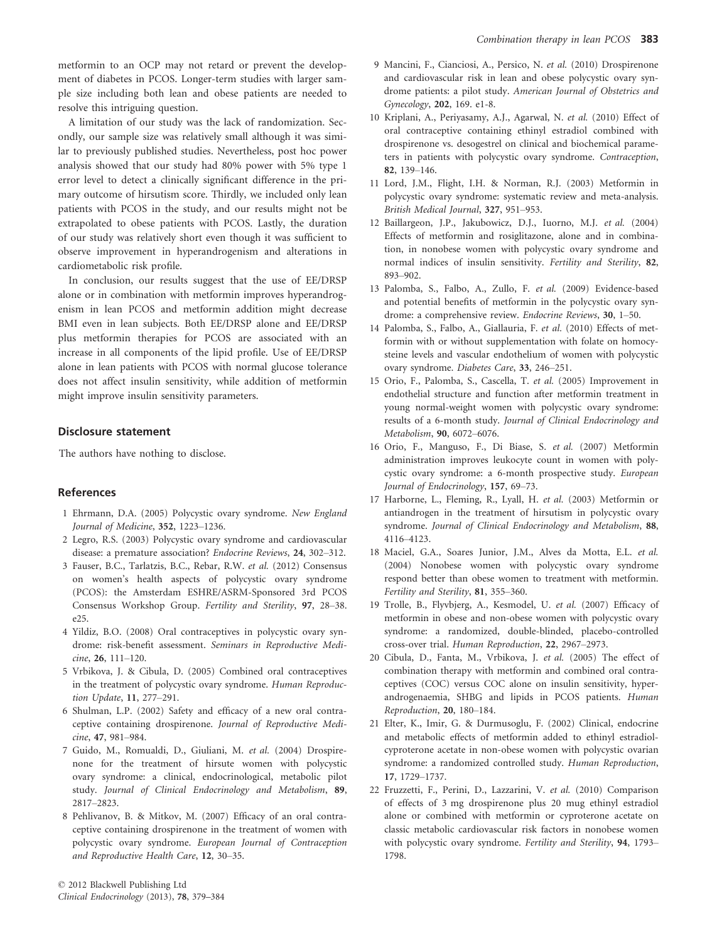metformin to an OCP may not retard or prevent the development of diabetes in PCOS. Longer-term studies with larger sample size including both lean and obese patients are needed to resolve this intriguing question.

A limitation of our study was the lack of randomization. Secondly, our sample size was relatively small although it was similar to previously published studies. Nevertheless, post hoc power analysis showed that our study had 80% power with 5% type 1 error level to detect a clinically significant difference in the primary outcome of hirsutism score. Thirdly, we included only lean patients with PCOS in the study, and our results might not be extrapolated to obese patients with PCOS. Lastly, the duration of our study was relatively short even though it was sufficient to observe improvement in hyperandrogenism and alterations in cardiometabolic risk profile.

In conclusion, our results suggest that the use of EE/DRSP alone or in combination with metformin improves hyperandrogenism in lean PCOS and metformin addition might decrease BMI even in lean subjects. Both EE/DRSP alone and EE/DRSP plus metformin therapies for PCOS are associated with an increase in all components of the lipid profile. Use of EE/DRSP alone in lean patients with PCOS with normal glucose tolerance does not affect insulin sensitivity, while addition of metformin might improve insulin sensitivity parameters.

## Disclosure statement

The authors have nothing to disclose.

## References

- 1 Ehrmann, D.A. (2005) Polycystic ovary syndrome. New England Journal of Medicine, 352, 1223–1236.
- 2 Legro, R.S. (2003) Polycystic ovary syndrome and cardiovascular disease: a premature association? Endocrine Reviews, 24, 302–312.
- 3 Fauser, B.C., Tarlatzis, B.C., Rebar, R.W. et al. (2012) Consensus on women's health aspects of polycystic ovary syndrome (PCOS): the Amsterdam ESHRE/ASRM-Sponsored 3rd PCOS Consensus Workshop Group. Fertility and Sterility, 97, 28–38.  $e25$
- 4 Yildiz, B.O. (2008) Oral contraceptives in polycystic ovary syndrome: risk-benefit assessment. Seminars in Reproductive Medicine, 26, 111–120.
- 5 Vrbikova, J. & Cibula, D. (2005) Combined oral contraceptives in the treatment of polycystic ovary syndrome. Human Reproduction Update, 11, 277–291.
- 6 Shulman, L.P. (2002) Safety and efficacy of a new oral contraceptive containing drospirenone. Journal of Reproductive Medicine, 47, 981–984.
- 7 Guido, M., Romualdi, D., Giuliani, M. et al. (2004) Drospirenone for the treatment of hirsute women with polycystic ovary syndrome: a clinical, endocrinological, metabolic pilot study. Journal of Clinical Endocrinology and Metabolism, 89, 2817–2823.
- 8 Pehlivanov, B. & Mitkov, M. (2007) Efficacy of an oral contraceptive containing drospirenone in the treatment of women with polycystic ovary syndrome. European Journal of Contraception and Reproductive Health Care, 12, 30–35.
- 9 Mancini, F., Cianciosi, A., Persico, N. et al. (2010) Drospirenone and cardiovascular risk in lean and obese polycystic ovary syndrome patients: a pilot study. American Journal of Obstetrics and Gynecology, 202, 169. e1-8.
- 10 Kriplani, A., Periyasamy, A.J., Agarwal, N. et al. (2010) Effect of oral contraceptive containing ethinyl estradiol combined with drospirenone vs. desogestrel on clinical and biochemical parameters in patients with polycystic ovary syndrome. Contraception, 82, 139–146.
- 11 Lord, J.M., Flight, I.H. & Norman, R.J. (2003) Metformin in polycystic ovary syndrome: systematic review and meta-analysis. British Medical Journal, 327, 951–953.
- 12 Baillargeon, J.P., Jakubowicz, D.J., Iuorno, M.J. et al. (2004) Effects of metformin and rosiglitazone, alone and in combination, in nonobese women with polycystic ovary syndrome and normal indices of insulin sensitivity. Fertility and Sterility, 82, 893–902.
- 13 Palomba, S., Falbo, A., Zullo, F. et al. (2009) Evidence-based and potential benefits of metformin in the polycystic ovary syndrome: a comprehensive review. Endocrine Reviews, 30, 1–50.
- 14 Palomba, S., Falbo, A., Giallauria, F. et al. (2010) Effects of metformin with or without supplementation with folate on homocysteine levels and vascular endothelium of women with polycystic ovary syndrome. Diabetes Care, 33, 246–251.
- 15 Orio, F., Palomba, S., Cascella, T. et al. (2005) Improvement in endothelial structure and function after metformin treatment in young normal-weight women with polycystic ovary syndrome: results of a 6-month study. Journal of Clinical Endocrinology and Metabolism, 90, 6072–6076.
- 16 Orio, F., Manguso, F., Di Biase, S. et al. (2007) Metformin administration improves leukocyte count in women with polycystic ovary syndrome: a 6-month prospective study. European Journal of Endocrinology, 157, 69–73.
- 17 Harborne, L., Fleming, R., Lyall, H. et al. (2003) Metformin or antiandrogen in the treatment of hirsutism in polycystic ovary syndrome. Journal of Clinical Endocrinology and Metabolism, 88, 4116–4123.
- 18 Maciel, G.A., Soares Junior, J.M., Alves da Motta, E.L. et al. (2004) Nonobese women with polycystic ovary syndrome respond better than obese women to treatment with metformin. Fertility and Sterility, 81, 355–360.
- 19 Trolle, B., Flyvbjerg, A., Kesmodel, U. et al. (2007) Efficacy of metformin in obese and non-obese women with polycystic ovary syndrome: a randomized, double-blinded, placebo-controlled cross-over trial. Human Reproduction, 22, 2967–2973.
- 20 Cibula, D., Fanta, M., Vrbikova, J. et al. (2005) The effect of combination therapy with metformin and combined oral contraceptives (COC) versus COC alone on insulin sensitivity, hyperandrogenaemia, SHBG and lipids in PCOS patients. Human Reproduction, 20, 180–184.
- 21 Elter, K., Imir, G. & Durmusoglu, F. (2002) Clinical, endocrine and metabolic effects of metformin added to ethinyl estradiolcyproterone acetate in non-obese women with polycystic ovarian syndrome: a randomized controlled study. Human Reproduction, 17, 1729–1737.
- 22 Fruzzetti, F., Perini, D., Lazzarini, V. et al. (2010) Comparison of effects of 3 mg drospirenone plus 20 mug ethinyl estradiol alone or combined with metformin or cyproterone acetate on classic metabolic cardiovascular risk factors in nonobese women with polycystic ovary syndrome. Fertility and Sterility, 94, 1793– 1798.